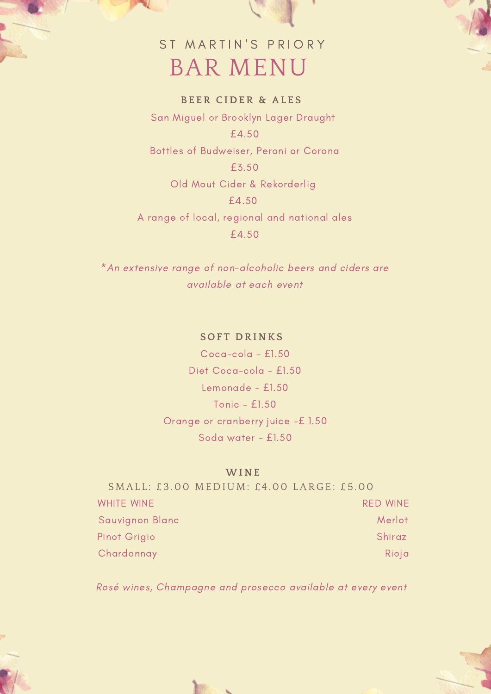## BAR MENU ST MARTIN'S PRIORY

**BE ER CIDER & AL E S** San Miguel or Brooklyn Lager Draught £4.50 Bottles of Budweiser, Peroni or Corona £3.50 Old Mout Cider & Rekorderlig £4.50 A range of local, regional and national ales £4.50

\*An extensive range of non-alcoholic beers and ciders are available at each event

### **S O F T DRINKS**

Coca-cola - £1.50 Diet Coca-cola - £1.50 Lemonade - £1.50 Tonic - £1.50 Orange or cranberry juice -£ 1.50 Soda water - £1.50

#### **WINE**

|                   | SMALL: £3.00 MEDIUM: £4.00 LARGE: £5.00 |
|-------------------|-----------------------------------------|
| <b>WHITE WINE</b> | <b>RED WINE</b>                         |
| Sauvignon Blanc   | Merlot                                  |
| Pinot Grigio      | Shiraz                                  |
| Chardonnay        | Rioja                                   |

Rosé wines, Champagne and prosecco available at every event